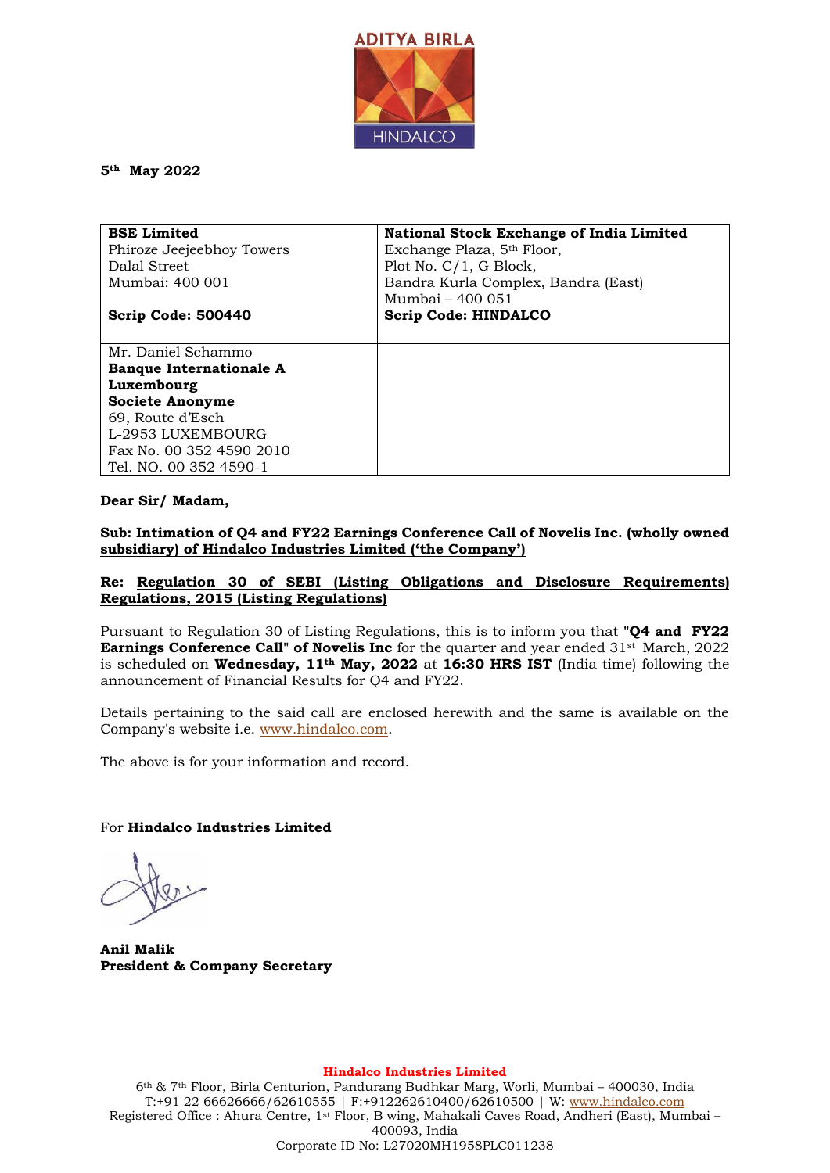

**5th May 2022**

| <b>BSE Limited</b>             | <b>National Stock Exchange of India Limited</b> |
|--------------------------------|-------------------------------------------------|
| Phiroze Jeejeebhoy Towers      | Exchange Plaza, 5 <sup>th</sup> Floor,          |
| Dalal Street                   | Plot No. $C/1$ , G Block,                       |
| Mumbai: 400 001                | Bandra Kurla Complex, Bandra (East)             |
|                                | Mumbai - 400 051                                |
| Scrip Code: 500440             | <b>Scrip Code: HINDALCO</b>                     |
|                                |                                                 |
| Mr. Daniel Schammo             |                                                 |
| <b>Banque Internationale A</b> |                                                 |
| Luxembourg                     |                                                 |
| <b>Societe Anonyme</b>         |                                                 |
| 69, Route d'Esch               |                                                 |
| L-2953 LUXEMBOURG              |                                                 |
| Fax No. 00 352 4590 2010       |                                                 |
| Tel. NO. 00 352 4590-1         |                                                 |

### **Dear Sir/ Madam,**

**Sub: Intimation of Q4 and FY22 Earnings Conference Call of Novelis Inc. (wholly owned subsidiary) of Hindalco Industries Limited ('the Company')**

### **Re: Regulation 30 of SEBI (Listing Obligations and Disclosure Requirements) Regulations, 2015 (Listing Regulations)**

Pursuant to Regulation 30 of Listing Regulations, this is to inform you that **"Q4 and FY22 Earnings Conference Call" of Novelis Inc** for the quarter and year ended 31st March, 2022 is scheduled on **Wednesday, 11th May, 2022** at **16:30 HRS IST** (India time) following the announcement of Financial Results for Q4 and FY22.

Details pertaining to the said call are enclosed herewith and the same is available on the Company's website i.e. [www.hindalco.com.](http://www.hindalco.com/)

The above is for your information and record.

For **Hindalco Industries Limited** 

**Anil Malik President & Company Secretary**

**Hindalco Industries Limited**

6th & 7th Floor, Birla Centurion, Pandurang Budhkar Marg, Worli, Mumbai – 400030, India T:+91 22 66626666/62610555 | F:+912262610400/62610500 | W: [www.hindalco.com](http://www.hindalco.com/) Registered Office : Ahura Centre, 1st Floor, B wing, Mahakali Caves Road, Andheri (East), Mumbai – 400093, India Corporate ID No: L27020MH1958PLC011238